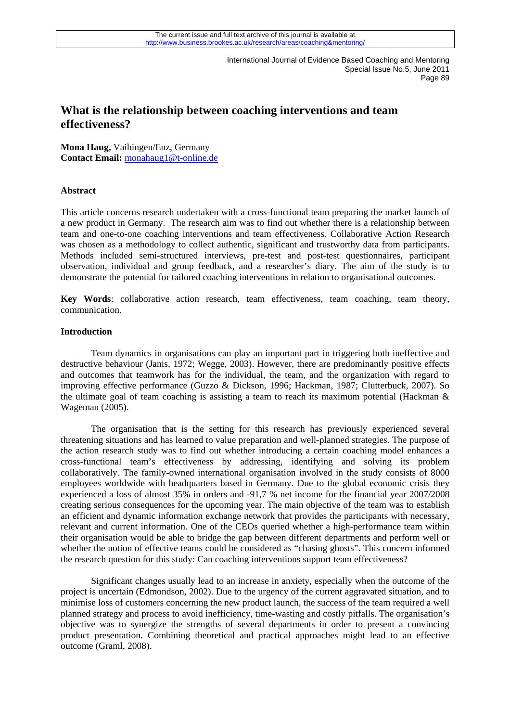# **What is the relationship between coaching interventions and team effectiveness?**

**Mona Haug,** Vaihingen/Enz, Germany **Contact Email:** [monahaug1@t-online.de](mailto:monahaug1@t-online.de)

# **Abstract**

This article concerns research undertaken with a cross-functional team preparing the market launch of a new product in Germany. The research aim was to find out whether there is a relationship between team and one-to-one coaching interventions and team effectiveness. Collaborative Action Research was chosen as a methodology to collect authentic, significant and trustworthy data from participants. Methods included semi-structured interviews, pre-test and post-test questionnaires, participant observation, individual and group feedback, and a researcher's diary. The aim of the study is to demonstrate the potential for tailored coaching interventions in relation to organisational outcomes.

**Key Words**: collaborative action research, team effectiveness, team coaching, team theory, communication.

# **Introduction**

 Team dynamics in organisations can play an important part in triggering both ineffective and destructive behaviour (Janis, 1972; Wegge, 2003). However, there are predominantly positive effects and outcomes that teamwork has for the individual, the team, and the organization with regard to improving effective performance (Guzzo & Dickson, 1996; Hackman, 1987; Clutterbuck, 2007). So the ultimate goal of team coaching is assisting a team to reach its maximum potential (Hackman & Wageman (2005).

 The organisation that is the setting for this research has previously experienced several threatening situations and has learned to value preparation and well-planned strategies. The purpose of the action research study was to find out whether introducing a certain coaching model enhances a cross-functional team's effectiveness by addressing, identifying and solving its problem collaboratively. The family-owned international organisation involved in the study consists of 8000 employees worldwide with headquarters based in Germany. Due to the global economic crisis they experienced a loss of almost 35% in orders and -91,7 % net income for the financial year 2007/2008 creating serious consequences for the upcoming year. The main objective of the team was to establish an efficient and dynamic information exchange network that provides the participants with necessary, relevant and current information. One of the CEOs queried whether a high-performance team within their organisation would be able to bridge the gap between different departments and perform well or whether the notion of effective teams could be considered as "chasing ghosts". This concern informed the research question for this study: Can coaching interventions support team effectiveness?

product presentation. Combining theoretical and practical approaches might lead to an effective Significant changes usually lead to an increase in anxiety, especially when the outcome of the project is uncertain (Edmondson, 2002). Due to the urgency of the current aggravated situation, and to minimise loss of customers concerning the new product launch, the success of the team required a well planned strategy and process to avoid inefficiency, time-wasting and costly pitfalls. The organisation's objective was to synergize the strengths of several departments in order to present a convincing outcome (Graml, 2008).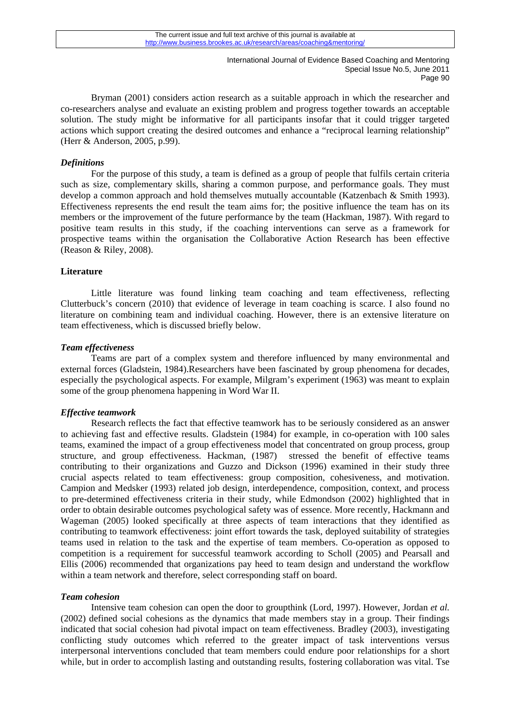Bryman (2001) considers action research as a suitable approach in which the researcher and co-researchers analyse and evaluate an existing problem and progress together towards an acceptable solution. The study might be informative for all participants insofar that it could trigger targeted actions which support creating the desired outcomes and enhance a "reciprocal learning relationship" (Herr & Anderson, 2005, p.99).

# *Definitions*

 For the purpose of this study, a team is defined as a group of people that fulfils certain criteria such as size, complementary skills, sharing a common purpose, and performance goals. They must develop a common approach and hold themselves mutually accountable (Katzenbach & Smith 1993). Effectiveness represents the end result the team aims for; the positive influence the team has on its members or the improvement of the future performance by the team (Hackman, 1987). With regard to positive team results in this study, if the coaching interventions can serve as a framework for prospective teams within the organisation the Collaborative Action Research has been effective (Reason & Riley, 2008).

# **Literature**

 Little literature was found linking team coaching and team effectiveness, reflecting Clutterbuck's concern (2010) that evidence of leverage in team coaching is scarce. I also found no literature on combining team and individual coaching. However, there is an extensive literature on team effectiveness, which is discussed briefly below.

# *Team effectiveness*

 Teams are part of a complex system and therefore influenced by many environmental and external forces (Gladstein, 1984).Researchers have been fascinated by group phenomena for decades, especially the psychological aspects. For example, Milgram's experiment (1963) was meant to explain some of the group phenomena happening in Word War II.

# *Effective teamwork*

 Research reflects the fact that effective teamwork has to be seriously considered as an answer to achieving fast and effective results. Gladstein (1984) for example, in co-operation with 100 sales teams, examined the impact of a group effectiveness model that concentrated on group process, group structure, and group effectiveness. Hackman, (1987) stressed the benefit of effective teams contributing to their organizations and Guzzo and Dickson (1996) examined in their study three crucial aspects related to team effectiveness: group composition, cohesiveness, and motivation. Campion and Medsker (1993) related job design, interdependence, composition, context, and process to pre-determined effectiveness criteria in their study, while Edmondson (2002) highlighted that in order to obtain desirable outcomes psychological safety was of essence. More recently, Hackmann and Wageman (2005) looked specifically at three aspects of team interactions that they identified as contributing to teamwork effectiveness: joint effort towards the task, deployed suitability of strategies teams used in relation to the task and the expertise of team members. Co-operation as opposed to competition is a requirement for successful teamwork according to Scholl (2005) and Pearsall and Ellis (2006) recommended that organizations pay heed to team design and understand the workflow within a team network and therefore, select corresponding staff on board.

# *Team cohesion*

conflicting study outcomes which referred to the greater impact of task interventions versus Intensive team cohesion can open the door to groupthink (Lord, 1997). However, Jordan *et al.* (2002) defined social cohesions as the dynamics that made members stay in a group. Their findings indicated that social cohesion had pivotal impact on team effectiveness. Bradley (2003), investigating interpersonal interventions concluded that team members could endure poor relationships for a short while, but in order to accomplish lasting and outstanding results, fostering collaboration was vital. Tse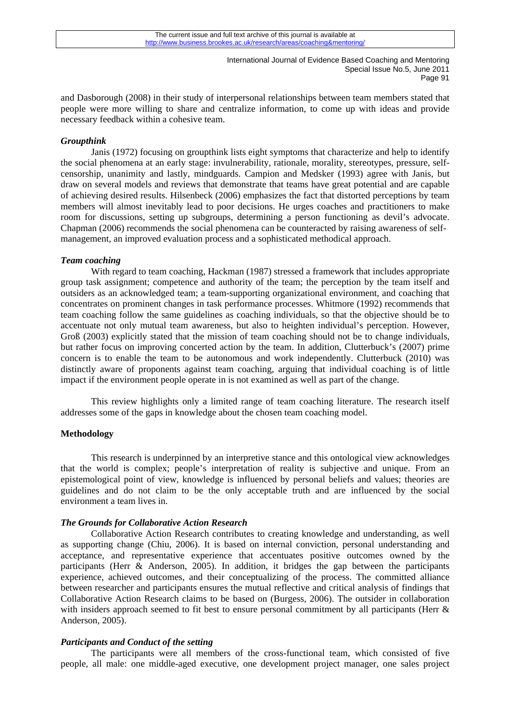and Dasborough (2008) in their study of interpersonal relationships between team members stated that people were more willing to share and centralize information, to come up with ideas and provide necessary feedback within a cohesive team.

# *Groupthink*

 Janis (1972) focusing on groupthink lists eight symptoms that characterize and help to identify the social phenomena at an early stage: invulnerability, rationale, morality, stereotypes, pressure, selfcensorship, unanimity and lastly, mindguards. Campion and Medsker (1993) agree with Janis, but draw on several models and reviews that demonstrate that teams have great potential and are capable of achieving desired results. Hilsenbeck (2006) emphasizes the fact that distorted perceptions by team members will almost inevitably lead to poor decisions. He urges coaches and practitioners to make room for discussions, setting up subgroups, determining a person functioning as devil's advocate. Chapman (2006) recommends the social phenomena can be counteracted by raising awareness of selfmanagement, an improved evaluation process and a sophisticated methodical approach.

# *Team coaching*

With regard to team coaching, Hackman (1987) stressed a framework that includes appropriate group task assignment; competence and authority of the team; the perception by the team itself and outsiders as an acknowledged team; a team-supporting organizational environment, and coaching that concentrates on prominent changes in task performance processes. Whitmore (1992) recommends that team coaching follow the same guidelines as coaching individuals, so that the objective should be to accentuate not only mutual team awareness, but also to heighten individual's perception. However, Groß (2003) explicitly stated that the mission of team coaching should not be to change individuals, but rather focus on improving concerted action by the team. In addition, Clutterbuck's (2007) prime concern is to enable the team to be autonomous and work independently. Clutterbuck (2010) was distinctly aware of proponents against team coaching, arguing that individual coaching is of little impact if the environment people operate in is not examined as well as part of the change.

 This review highlights only a limited range of team coaching literature. The research itself addresses some of the gaps in knowledge about the chosen team coaching model.

# **Methodology**

 This research is underpinned by an interpretive stance and this ontological view acknowledges that the world is complex; people's interpretation of reality is subjective and unique. From an epistemological point of view, knowledge is influenced by personal beliefs and values; theories are guidelines and do not claim to be the only acceptable truth and are influenced by the social environment a team lives in.

# *The Grounds for Collaborative Action Research*

 Collaborative Action Research contributes to creating knowledge and understanding, as well as supporting change (Chiu, 2006). It is based on internal conviction, personal understanding and acceptance, and representative experience that accentuates positive outcomes owned by the participants (Herr & Anderson, 2005). In addition, it bridges the gap between the participants experience, achieved outcomes, and their conceptualizing of the process. The committed alliance between researcher and participants ensures the mutual reflective and critical analysis of findings that Collaborative Action Research claims to be based on (Burgess, 2006). The outsider in collaboration with insiders approach seemed to fit best to ensure personal commitment by all participants (Herr & Anderson, 2005).

# *Participants and Conduct of the setting*

 The participants were all members of the cross-functional team, which consisted of five people, all male: one middle-aged executive, one development project manager, one sales project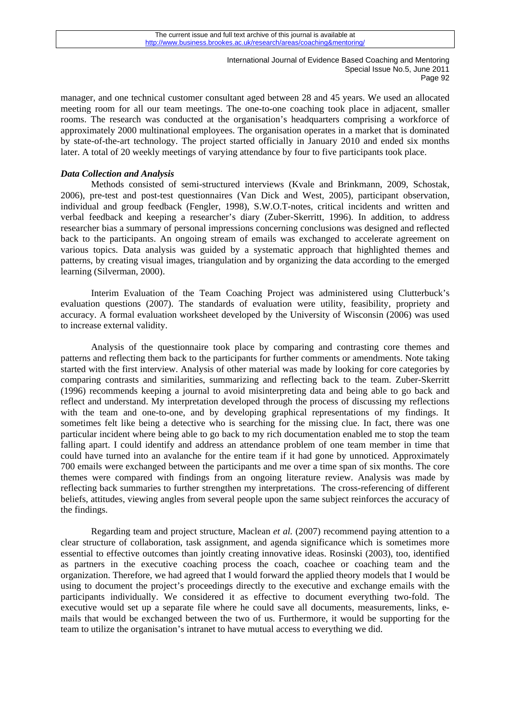manager, and one technical customer consultant aged between 28 and 45 years. We used an allocated meeting room for all our team meetings. The one-to-one coaching took place in adjacent, smaller rooms. The research was conducted at the organisation's headquarters comprising a workforce of approximately 2000 multinational employees. The organisation operates in a market that is dominated by state-of-the-art technology. The project started officially in January 2010 and ended six months later. A total of 20 weekly meetings of varying attendance by four to five participants took place.

# *Data Collection and Analysis*

 Methods consisted of semi-structured interviews (Kvale and Brinkmann, 2009, Schostak, 2006), pre-test and post-test questionnaires (Van Dick and West, 2005), participant observation, individual and group feedback (Fengler, 1998), S.W.O.T-notes, critical incidents and written and verbal feedback and keeping a researcher's diary (Zuber-Skerritt, 1996). In addition, to address researcher bias a summary of personal impressions concerning conclusions was designed and reflected back to the participants. An ongoing stream of emails was exchanged to accelerate agreement on various topics. Data analysis was guided by a systematic approach that highlighted themes and patterns, by creating visual images, triangulation and by organizing the data according to the emerged learning (Silverman, 2000).

 Interim Evaluation of the Team Coaching Project was administered using Clutterbuck's evaluation questions (2007). The standards of evaluation were utility, feasibility, propriety and accuracy. A formal evaluation worksheet developed by the University of Wisconsin (2006) was used to increase external validity.

 Analysis of the questionnaire took place by comparing and contrasting core themes and patterns and reflecting them back to the participants for further comments or amendments. Note taking started with the first interview. Analysis of other material was made by looking for core categories by comparing contrasts and similarities, summarizing and reflecting back to the team. Zuber-Skerritt (1996) recommends keeping a journal to avoid misinterpreting data and being able to go back and reflect and understand. My interpretation developed through the process of discussing my reflections with the team and one-to-one, and by developing graphical representations of my findings. It sometimes felt like being a detective who is searching for the missing clue. In fact, there was one particular incident where being able to go back to my rich documentation enabled me to stop the team falling apart. I could identify and address an attendance problem of one team member in time that could have turned into an avalanche for the entire team if it had gone by unnoticed. Approximately 700 emails were exchanged between the participants and me over a time span of six months. The core themes were compared with findings from an ongoing literature review. Analysis was made by reflecting back summaries to further strengthen my interpretations. The cross-referencing of different beliefs, attitudes, viewing angles from several people upon the same subject reinforces the accuracy of the findings.

 Regarding team and project structure, Maclean *et al.* (2007) recommend paying attention to a clear structure of collaboration, task assignment, and agenda significance which is sometimes more essential to effective outcomes than jointly creating innovative ideas. Rosinski (2003), too, identified as partners in the executive coaching process the coach, coachee or coaching team and the organization. Therefore, we had agreed that I would forward the applied theory models that I would be using to document the project's proceedings directly to the executive and exchange emails with the participants individually. We considered it as effective to document everything two-fold. The executive would set up a separate file where he could save all documents, measurements, links, emails that would be exchanged between the two of us. Furthermore, it would be supporting for the team to utilize the organisation's intranet to have mutual access to everything we did.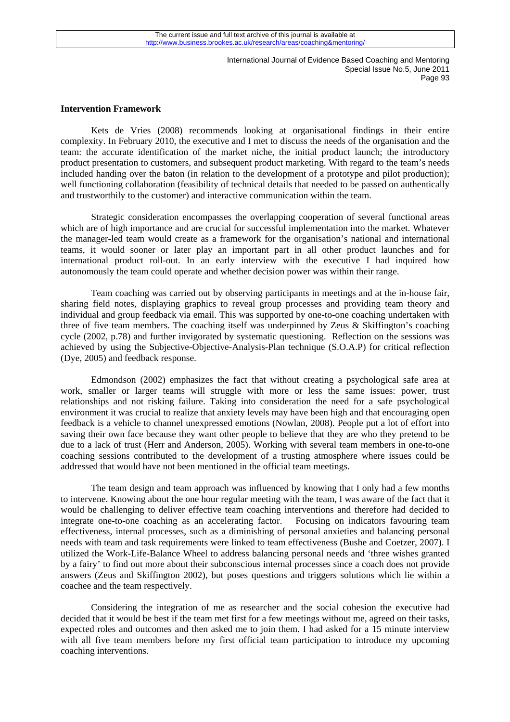# **Intervention Framework**

 Kets de Vries (2008) recommends looking at organisational findings in their entire complexity. In February 2010, the executive and I met to discuss the needs of the organisation and the team: the accurate identification of the market niche, the initial product launch; the introductory product presentation to customers, and subsequent product marketing. With regard to the team's needs included handing over the baton (in relation to the development of a prototype and pilot production); well functioning collaboration (feasibility of technical details that needed to be passed on authentically and trustworthily to the customer) and interactive communication within the team.

 Strategic consideration encompasses the overlapping cooperation of several functional areas which are of high importance and are crucial for successful implementation into the market. Whatever the manager-led team would create as a framework for the organisation's national and international teams, it would sooner or later play an important part in all other product launches and for international product roll-out. In an early interview with the executive I had inquired how autonomously the team could operate and whether decision power was within their range.

 Team coaching was carried out by observing participants in meetings and at the in-house fair, sharing field notes, displaying graphics to reveal group processes and providing team theory and individual and group feedback via email. This was supported by one-to-one coaching undertaken with three of five team members. The coaching itself was underpinned by Zeus & Skiffington's coaching cycle (2002, p.78) and further invigorated by systematic questioning. Reflection on the sessions was achieved by using the Subjective-Objective-Analysis-Plan technique (S.O.A.P) for critical reflection (Dye, 2005) and feedback response.

 Edmondson (2002) emphasizes the fact that without creating a psychological safe area at work, smaller or larger teams will struggle with more or less the same issues: power, trust relationships and not risking failure. Taking into consideration the need for a safe psychological environment it was crucial to realize that anxiety levels may have been high and that encouraging open feedback is a vehicle to channel unexpressed emotions (Nowlan, 2008). People put a lot of effort into saving their own face because they want other people to believe that they are who they pretend to be due to a lack of trust (Herr and Anderson, 2005). Working with several team members in one-to-one coaching sessions contributed to the development of a trusting atmosphere where issues could be addressed that would have not been mentioned in the official team meetings.

 The team design and team approach was influenced by knowing that I only had a few months to intervene. Knowing about the one hour regular meeting with the team, I was aware of the fact that it would be challenging to deliver effective team coaching interventions and therefore had decided to integrate one-to-one coaching as an accelerating factor. Focusing on indicators favouring team effectiveness, internal processes, such as a diminishing of personal anxieties and balancing personal needs with team and task requirements were linked to team effectiveness (Bushe and Coetzer, 2007). I utilized the Work-Life-Balance Wheel to address balancing personal needs and 'three wishes granted by a fairy' to find out more about their subconscious internal processes since a coach does not provide answers (Zeus and Skiffington 2002), but poses questions and triggers solutions which lie within a coachee and the team respectively.

with all five team members before my first official team participation to introduce my upcoming Considering the integration of me as researcher and the social cohesion the executive had decided that it would be best if the team met first for a few meetings without me, agreed on their tasks, expected roles and outcomes and then asked me to join them. I had asked for a 15 minute interview coaching interventions.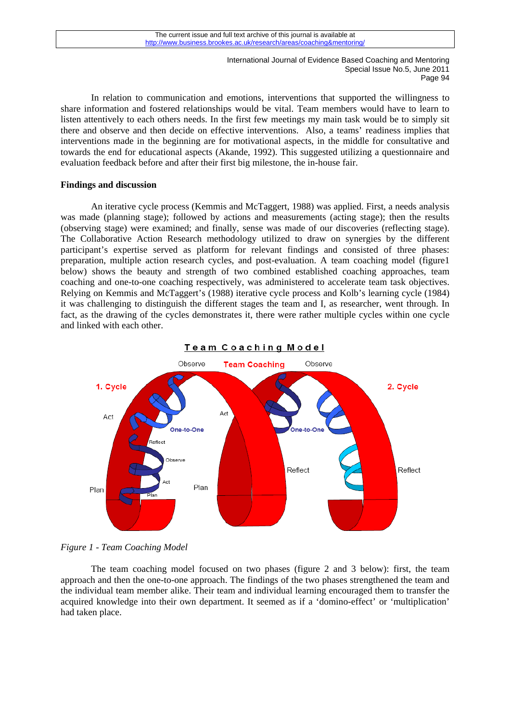In relation to communication and emotions, interventions that supported the willingness to share information and fostered relationships would be vital. Team members would have to learn to listen attentively to each others needs. In the first few meetings my main task would be to simply sit there and observe and then decide on effective interventions. Also, a teams' readiness implies that interventions made in the beginning are for motivational aspects, in the middle for consultative and towards the end for educational aspects (Akande, 1992). This suggested utilizing a questionnaire and evaluation feedback before and after their first big milestone, the in-house fair.

# **Findings and discussion**

An iterative cycle process (Kemmis and McTaggert, 1988) was applied. First, a needs analysis was made (planning stage); followed by actions and measurements (acting stage); then the results (observing stage) were examined; and finally, sense was made of our discoveries (reflecting stage). The Collaborative Action Research methodology utilized to draw on synergies by the different participant's expertise served as platform for relevant findings and consisted of three phases: preparation, multiple action research cycles, and post-evaluation. A team coaching model (figure1 below) shows the beauty and strength of two combined established coaching approaches, team coaching and one-to-one coaching respectively, was administered to accelerate team task objectives. Relying on Kemmis and McTaggert's (1988) iterative cycle process and Kolb's learning cycle (1984) it was challenging to distinguish the different stages the team and I, as researcher, went through. In fact, as the drawing of the cycles demonstrates it, there were rather multiple cycles within one cycle and linked with each other.





The team coaching model focused on two phases (figure 2 and 3 below): first, the team approach and then the one-to-one approach. The findings of the two phases strengthened the team and the individual team member alike. Their team and individual learning encouraged them to transfer the acquired knowledge into their own department. It seemed as if a 'domino-effect' or 'multiplication' had taken place.

*Figure 1 - Team Coaching Model*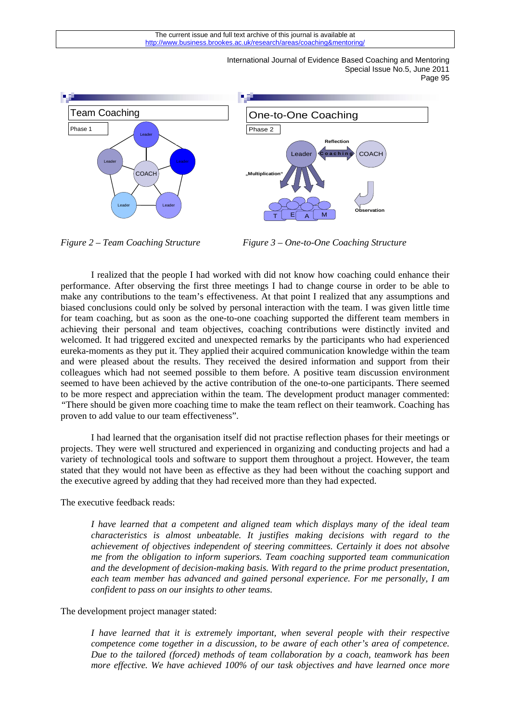

*Figure 2 – Team Coaching Structure**Figure 3 – One-to-One Coaching Structure*

I realized that the people I had worked with did not know how coaching could enhance their performance. After observing the first three meetings I had to change course in order to be able to make any contributions to the team's effectiveness. At that point I realized that any assumptions and biased conclusions could only be solved by personal interaction with the team. I was given little time for team coaching, but as soon as the one-to-one coaching supported the different team members in achieving their personal and team objectives, coaching contributions were distinctly invited and welcomed. It had triggered excited and unexpected remarks by the participants who had experienced eureka-moments as they put it. They applied their acquired communication knowledge within the team and were pleased about the results. They received the desired information and support from their colleagues which had not seemed possible to them before. A positive team discussion environment seemed to have been achieved by the active contribution of the one-to-one participants. There seemed to be more respect and appreciation within the team. The development product manager commented: *"*There should be given more coaching time to make the team reflect on their teamwork. Coaching has proven to add value to our team effectiveness".

I had learned that the organisation itself did not practise reflection phases for their meetings or projects. They were well structured and experienced in organizing and conducting projects and had a variety of technological tools and software to support them throughout a project. However, the team stated that they would not have been as effective as they had been without the coaching support and the executive agreed by adding that they had received more than they had expected.

The executive feedback reads:

*I have learned that a competent and aligned team which displays many of the ideal team characteristics is almost unbeatable. It justifies making decisions with regard to the achievement of objectives independent of steering committees. Certainly it does not absolve me from the obligation to inform superiors. Team coaching supported team communication and the development of decision-making basis. With regard to the prime product presentation, each team member has advanced and gained personal experience. For me personally, I am confident to pass on our insights to other teams.* 

#### The development project manager stated:

<sup>95</sup> *I have learned that it is extremely important, when several people with their respective competence come together in a discussion, to be aware of each other's area of competence. Due to the tailored (forced) methods of team collaboration by a coach, teamwork has been more effective. We have achieved 100% of our task objectives and have learned once more*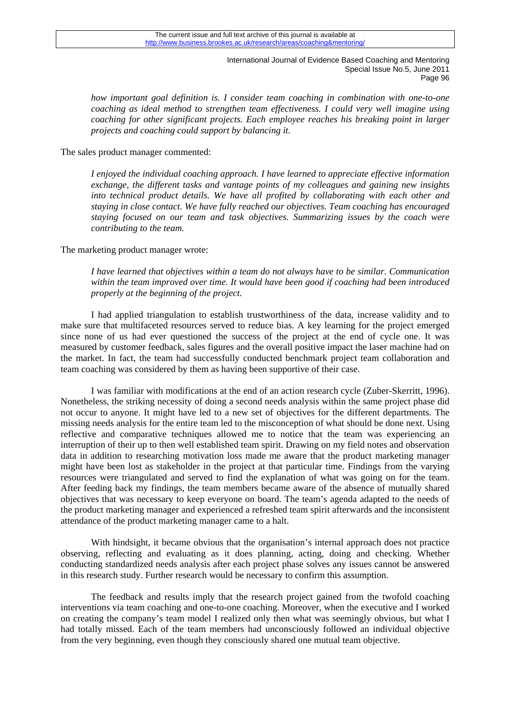*how important goal definition is. I consider team coaching in combination with one-to-one coaching as ideal method to strengthen team effectiveness. I could very well imagine using coaching for other significant projects. Each employee reaches his breaking point in larger projects and coaching could support by balancing it.* 

The sales product manager commented:

*I enjoyed the individual coaching approach. I have learned to appreciate effective information exchange, the different tasks and vantage points of my colleagues and gaining new insights into technical product details. We have all profited by collaborating with each other and staying in close contact. We have fully reached our objectives. Team coaching has encouraged staying focused on our team and task objectives. Summarizing issues by the coach were contributing to the team.* 

The marketing product manager wrote:

*I have learned that objectives within a team do not always have to be similar. Communication within the team improved over time. It would have been good if coaching had been introduced properly at the beginning of the project.* 

 I had applied triangulation to establish trustworthiness of the data, increase validity and to make sure that multifaceted resources served to reduce bias. A key learning for the project emerged since none of us had ever questioned the success of the project at the end of cycle one. It was measured by customer feedback, sales figures and the overall positive impact the laser machine had on the market. In fact, the team had successfully conducted benchmark project team collaboration and team coaching was considered by them as having been supportive of their case.

 I was familiar with modifications at the end of an action research cycle (Zuber-Skerritt, 1996). Nonetheless, the striking necessity of doing a second needs analysis within the same project phase did not occur to anyone. It might have led to a new set of objectives for the different departments. The missing needs analysis for the entire team led to the misconception of what should be done next. Using reflective and comparative techniques allowed me to notice that the team was experiencing an interruption of their up to then well established team spirit. Drawing on my field notes and observation data in addition to researching motivation loss made me aware that the product marketing manager might have been lost as stakeholder in the project at that particular time. Findings from the varying resources were triangulated and served to find the explanation of what was going on for the team. After feeding back my findings, the team members became aware of the absence of mutually shared objectives that was necessary to keep everyone on board. The team's agenda adapted to the needs of the product marketing manager and experienced a refreshed team spirit afterwards and the inconsistent attendance of the product marketing manager came to a halt.

With hindsight, it became obvious that the organisation's internal approach does not practice observing, reflecting and evaluating as it does planning, acting, doing and checking. Whether conducting standardized needs analysis after each project phase solves any issues cannot be answered in this research study. Further research would be necessary to confirm this assumption.

 The feedback and results imply that the research project gained from the twofold coaching interventions via team coaching and one-to-one coaching. Moreover, when the executive and I worked on creating the company's team model I realized only then what was seemingly obvious, but what I had totally missed. Each of the team members had unconsciously followed an individual objective from the very beginning, even though they consciously shared one mutual team objective.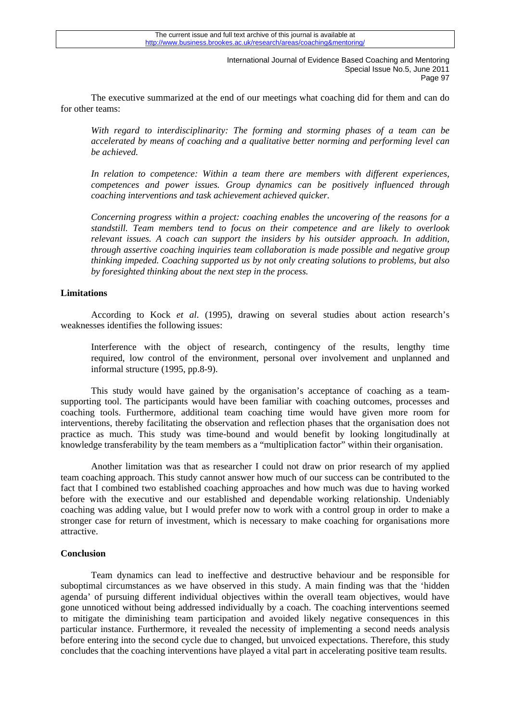The executive summarized at the end of our meetings what coaching did for them and can do for other teams:

*With regard to interdisciplinarity: The forming and storming phases of a team can be accelerated by means of coaching and a qualitative better norming and performing level can be achieved.* 

*In relation to competence: Within a team there are members with different experiences, competences and power issues. Group dynamics can be positively influenced through coaching interventions and task achievement achieved quicker.* 

*Concerning progress within a project: coaching enables the uncovering of the reasons for a standstill. Team members tend to focus on their competence and are likely to overlook relevant issues. A coach can support the insiders by his outsider approach. In addition, through assertive coaching inquiries team collaboration is made possible and negative group thinking impeded. Coaching supported us by not only creating solutions to problems, but also by foresighted thinking about the next step in the process.* 

# **Limitations**

 According to Kock *et al*. (1995), drawing on several studies about action research's weaknesses identifies the following issues:

Interference with the object of research, contingency of the results, lengthy time required, low control of the environment, personal over involvement and unplanned and informal structure (1995, pp.8-9).

 This study would have gained by the organisation's acceptance of coaching as a teamsupporting tool. The participants would have been familiar with coaching outcomes, processes and coaching tools. Furthermore, additional team coaching time would have given more room for interventions, thereby facilitating the observation and reflection phases that the organisation does not practice as much. This study was time-bound and would benefit by looking longitudinally at knowledge transferability by the team members as a "multiplication factor" within their organisation.

 Another limitation was that as researcher I could not draw on prior research of my applied team coaching approach. This study cannot answer how much of our success can be contributed to the fact that I combined two established coaching approaches and how much was due to having worked before with the executive and our established and dependable working relationship. Undeniably coaching was adding value, but I would prefer now to work with a control group in order to make a stronger case for return of investment, which is necessary to make coaching for organisations more attractive.

# **Conclusion**

before entering into the second cycle due to changed, but unvoiced expectations. Therefore, this study Team dynamics can lead to ineffective and destructive behaviour and be responsible for suboptimal circumstances as we have observed in this study. A main finding was that the 'hidden agenda' of pursuing different individual objectives within the overall team objectives, would have gone unnoticed without being addressed individually by a coach. The coaching interventions seemed to mitigate the diminishing team participation and avoided likely negative consequences in this particular instance. Furthermore, it revealed the necessity of implementing a second needs analysis concludes that the coaching interventions have played a vital part in accelerating positive team results.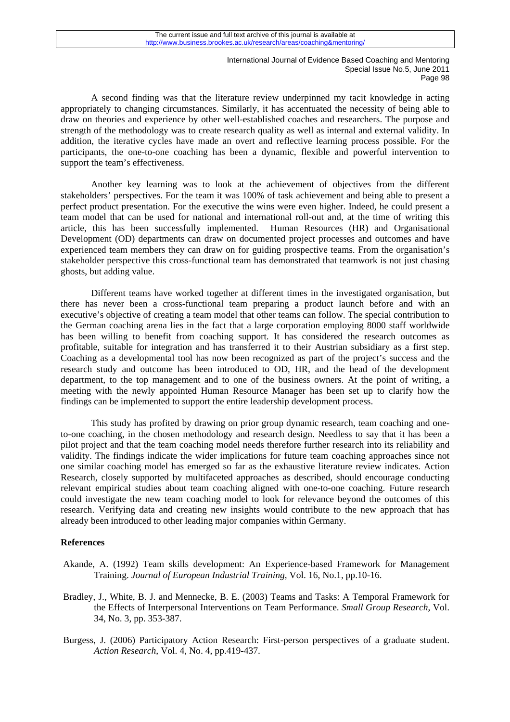A second finding was that the literature review underpinned my tacit knowledge in acting appropriately to changing circumstances. Similarly, it has accentuated the necessity of being able to draw on theories and experience by other well-established coaches and researchers. The purpose and strength of the methodology was to create research quality as well as internal and external validity. In addition, the iterative cycles have made an overt and reflective learning process possible. For the participants, the one-to-one coaching has been a dynamic, flexible and powerful intervention to support the team's effectiveness.

 Another key learning was to look at the achievement of objectives from the different stakeholders' perspectives. For the team it was 100% of task achievement and being able to present a perfect product presentation. For the executive the wins were even higher. Indeed, he could present a team model that can be used for national and international roll-out and, at the time of writing this article, this has been successfully implemented. Human Resources (HR) and Organisational Development (OD) departments can draw on documented project processes and outcomes and have experienced team members they can draw on for guiding prospective teams. From the organisation's stakeholder perspective this cross-functional team has demonstrated that teamwork is not just chasing ghosts, but adding value.

 Different teams have worked together at different times in the investigated organisation, but there has never been a cross-functional team preparing a product launch before and with an executive's objective of creating a team model that other teams can follow. The special contribution to the German coaching arena lies in the fact that a large corporation employing 8000 staff worldwide has been willing to benefit from coaching support. It has considered the research outcomes as profitable, suitable for integration and has transferred it to their Austrian subsidiary as a first step. Coaching as a developmental tool has now been recognized as part of the project's success and the research study and outcome has been introduced to OD, HR, and the head of the development department, to the top management and to one of the business owners. At the point of writing, a meeting with the newly appointed Human Resource Manager has been set up to clarify how the findings can be implemented to support the entire leadership development process.

 This study has profited by drawing on prior group dynamic research, team coaching and oneto-one coaching, in the chosen methodology and research design. Needless to say that it has been a pilot project and that the team coaching model needs therefore further research into its reliability and validity. The findings indicate the wider implications for future team coaching approaches since not one similar coaching model has emerged so far as the exhaustive literature review indicates. Action Research, closely supported by multifaceted approaches as described, should encourage conducting relevant empirical studies about team coaching aligned with one-to-one coaching. Future research could investigate the new team coaching model to look for relevance beyond the outcomes of this research. Verifying data and creating new insights would contribute to the new approach that has already been introduced to other leading major companies within Germany.

# **References**

- Akande, A. (1992) Team skills development: An Experience-based Framework for Management Training. *Journal of European Industrial Training*, Vol. 16, No.1, pp.10-16.
- Bradley, J., White, B. J. and Mennecke, B. E. (2003) Teams and Tasks: A Temporal Framework for the Effects of Interpersonal Interventions on Team Performance. *Small Group Research*, Vol. 34, No. 3, pp. 353-387.
- Burgess, J. (2006) Participatory Action Research: First-person perspectives of a graduate student. *Action Research*, Vol. 4, No. 4, pp.419-437.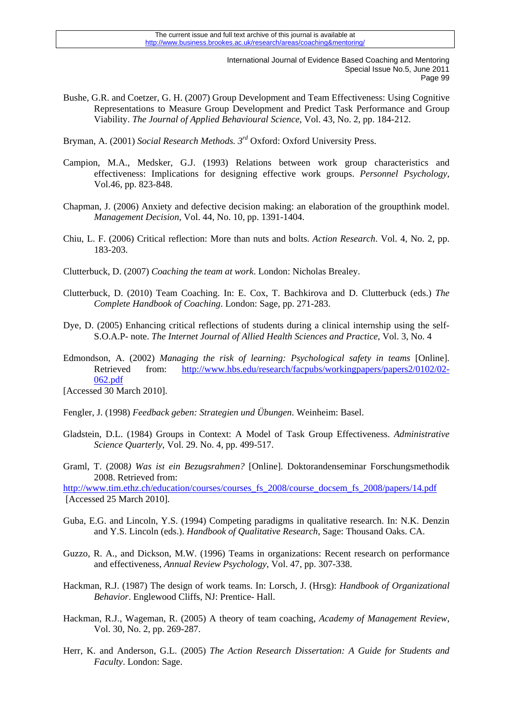- Bushe, G.R. and Coetzer, G. H. (2007) Group Development and Team Effectiveness: Using Cognitive Representations to Measure Group Development and Predict Task Performance and Group Viability. *The Journal of Applied Behavioural Science*, Vol. 43, No. 2, pp. 184-212.
- Bryman, A. (2001) *Social Research Methods. 3rd* Oxford: Oxford University Press.
- Campion, M.A., Medsker, G.J. (1993) Relations between work group characteristics and effectiveness: Implications for designing effective work groups. *Personnel Psychology*, Vol.46, pp. 823-848.
- Chapman, J. (2006) Anxiety and defective decision making: an elaboration of the groupthink model. *Management Decision*, Vol. 44, No. 10, pp. 1391-1404.
- Chiu, L. F. (2006) Critical reflection: More than nuts and bolts. *Action Research*. Vol. 4, No. 2, pp. 183-203.
- Clutterbuck, D. (2007) *Coaching the team at work*. London: Nicholas Brealey.
- Clutterbuck, D. (2010) Team Coaching. In: E. Cox, T. Bachkirova and D. Clutterbuck (eds.) *The Complete Handbook of Coaching*. London: Sage, pp. 271-283.
- Dye, D. (2005) Enhancing critical reflections of students during a clinical internship using the self-S.O.A.P- note. *The Internet Journal of Allied Health Sciences and Practice*, Vol. 3, No. 4
- Edmondson, A. (2002) *Managing the risk of learning: Psychological safety in teams* [Online]. Retrieved from: [http://www.hbs.edu/research/facpubs/workingpapers/papers2/0102/02-](http://www.hbs.edu/research/facpubs/workingpapers/papers2/0102/02-062.pdf) [062.pdf](http://www.hbs.edu/research/facpubs/workingpapers/papers2/0102/02-062.pdf)

[Accessed 30 March 2010].

- Fengler, J. (1998) *Feedback geben: Strategien und Übungen*. Weinheim: Basel.
- Gladstein, D.L. (1984) Groups in Context: A Model of Task Group Effectiveness. *Administrative Science Quarterly*, Vol. 29. No. 4, pp. 499-517.
- Graml, T. (2008*) Was ist ein Bezugsrahmen?* [Online]. Doktorandenseminar Forschungsmethodik 2008. Retrieved from:

[http://www.tim.ethz.ch/education/courses/courses\\_fs\\_2008/course\\_docsem\\_fs\\_2008/papers/14.pdf](http://www.tim.ethz.ch/education/courses/courses_fs_2008/course_docsem_fs_2008/papers/14.pdf) [Accessed 25 March 2010].

- Guba, E.G. and Lincoln, Y.S. (1994) Competing paradigms in qualitative research. In: N.K. Denzin and Y.S. Lincoln (eds.). *Handbook of Qualitative Research*, Sage: Thousand Oaks. CA.
- Guzzo, R. A., and Dickson, M.W. (1996) Teams in organizations: Recent research on performance and effectiveness, *Annual Review Psychology*, Vol. 47, pp. 307-338.
- Hackman, R.J. (1987) The design of work teams. In: Lorsch, J. (Hrsg): *Handbook of Organizational Behavior*. Englewood Cliffs, NJ: Prentice- Hall.
- Hackman, R.J., Wageman, R. (2005) A theory of team coaching, *Academy of Management Review,*  Vol. 30, No. 2, pp. 269-287.
- Herr, K. and Anderson, G.L. (2005) *The Action Research Dissertation: A Guide for Students and Faculty*. London: Sage.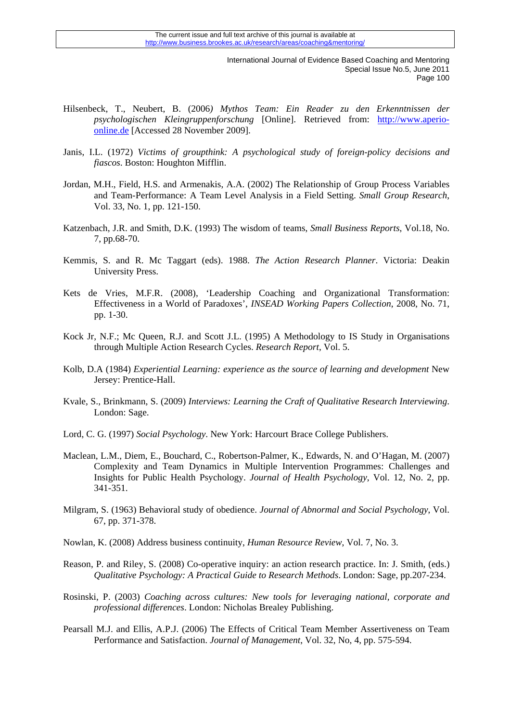- Hilsenbeck, T., Neubert, B. (2006*) Mythos Team: Ein Reader zu den Erkenntnissen der psychologischen Kleingruppenforschung* [Online]. Retrieved from: [http://www.aperio](http://www.aperio-online.de/)[online.de](http://www.aperio-online.de/) [Accessed 28 November 2009].
- Janis, I.L. (1972) *Victims of groupthink: A psychological study of foreign-policy decisions and fiascos*. Boston: Houghton Mifflin.
- Jordan, M.H., Field, H.S. and Armenakis, A.A. (2002) The Relationship of Group Process Variables and Team-Performance: A Team Level Analysis in a Field Setting. *Small Group Research*, Vol. 33, No. 1, pp. 121-150.
- Katzenbach, J.R. and Smith, D.K. (1993) The wisdom of teams, *Small Business Reports*, Vol.18, No. 7, pp.68-70.
- Kemmis, S. and R. Mc Taggart (eds). 1988. *The Action Research Planner*. Victoria: Deakin University Press.
- Kets de Vries, M.F.R. (2008), 'Leadership Coaching and Organizational Transformation: Effectiveness in a World of Paradoxes', *INSEAD Working Papers Collection*, 2008, No. 71, pp. 1-30.
- Kock Jr, N.F.; Mc Queen, R.J. and Scott J.L. (1995) A Methodology to IS Study in Organisations through Multiple Action Research Cycles. *Research Report*, Vol. 5.
- Kolb, D.A (1984) *Experiential Learning: experience as the source of learning and development* New Jersey: Prentice-Hall.
- Kvale, S., Brinkmann, S. (2009) *Interviews: Learning the Craft of Qualitative Research Interviewing*. London: Sage.
- Lord, C. G. (1997) *Social Psychology*. New York: Harcourt Brace College Publishers.
- Maclean, L.M., Diem, E., Bouchard, C., Robertson-Palmer, K., Edwards, N. and O'Hagan, M. (2007) Complexity and Team Dynamics in Multiple Intervention Programmes: Challenges and Insights for Public Health Psychology. *Journal of Health Psychology*, Vol. 12, No. 2, pp. 341-351.
- Milgram, S. (1963) Behavioral study of obedience. *Journal of Abnormal and Social Psychology*, Vol. 67, pp. 371-378.
- Nowlan, K. (2008) Address business continuity, *Human Resource Review*, Vol. 7, No. 3.
- Reason, P. and Riley, S. (2008) Co-operative inquiry: an action research practice. In: J. Smith, (eds.) *Qualitative Psychology: A Practical Guide to Research Methods*. London: Sage, pp.207-234.
- Rosinski, P. (2003) *Coaching across cultures: New tools for leveraging national, corporate and professional differences*. London: Nicholas Brealey Publishing.
- Pearsall M.J. and Ellis, A.P.J. (2006) The Effects of Critical Team Member Assertiveness on Team Performance and Satisfaction. *Journal of Management*, Vol. 32, No, 4, pp. 575-594.